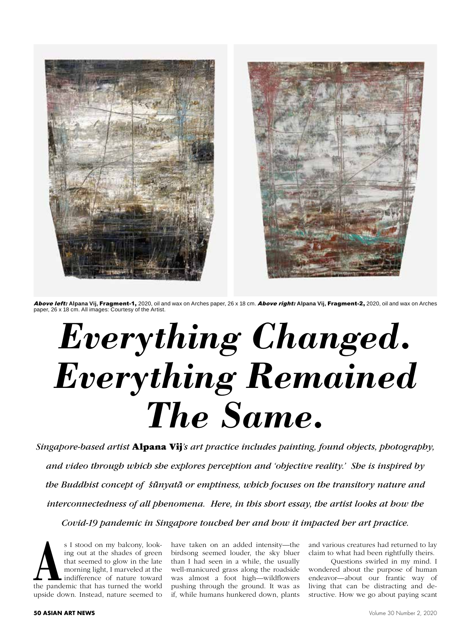

Above left: **Alpana Vij,** Fragment-1, 2020, oil and wax on Arches paper, 26 x 18 cm. Above right: **Alpana Vij,** Fragment-2, 2020, oil and wax on Arches paper, 26 x 18 cm. All images: Courtesy of the Artist.

## *Everything Changed. Everything Remained The Same.*

*Singapore-based artist* Alpana Vij*'s art practice includes painting, found objects, photography, and video through which she explores perception and 'objective reality.' She is inspired by the Buddhist concept of sunyata or emptiness, which focuses on the transitory nature and*  **- `**  *interconnectedness of all phenomena. Here, in this short essay, the artist looks at how the Covid-19 pandemic in Singapore touched her and how it impacted her art practice.*

s I stood on my balcony, looking out at the shades of green that seemed to glow in the late morning light, I marveled at the indifference of nature toward the pandemic that has turned the world ing out at the shades of green that seemed to glow in the late morning light, I marveled at the indifference of nature toward upside down. Instead, nature seemed to

have taken on an added intensity—the birdsong seemed louder, the sky bluer than I had seen in a while, the usually well-manicured grass along the roadside was almost a foot high—wildflowers pushing through the ground. It was as if, while humans hunkered down, plants

and various creatures had returned to lay claim to what had been rightfully theirs.

Questions swirled in my mind. I wondered about the purpose of human endeavor—about our frantic way of living that can be distracting and destructive. How we go about paying scant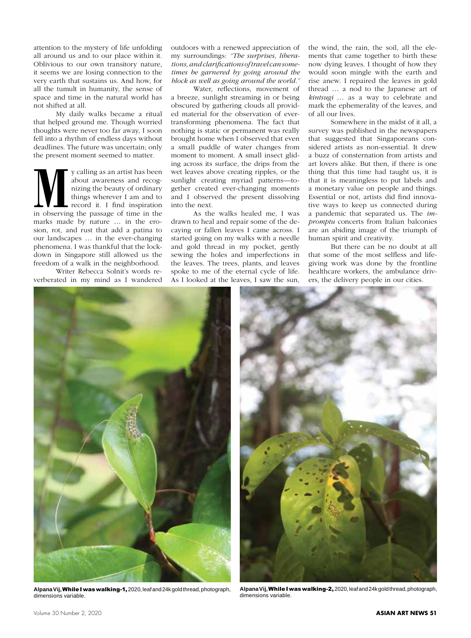attention to the mystery of life unfolding all around us and to our place within it. Oblivious to our own transitory nature, it seems we are losing connection to the very earth that sustains us. And how, for all the tumult in humanity, the sense of space and time in the natural world has not shifted at all.

My daily walks became a ritual that helped ground me. Though worried thoughts were never too far away, I soon fell into a rhythm of endless days without deadlines. The future was uncertain; only the present moment seemed to matter.

**M**y calling as an artist has been about awareness and recognizing the beauty of ordinary things wherever I am and to record it. I find inspiration in observing the passage of time in the about awareness and recognizing the beauty of ordinary things wherever I am and to record it. I find inspiration marks made by nature … in the erosion, rot, and rust that add a patina to our landscapes … in the ever-changing phenomena. I was thankful that the lockdown in Singapore still allowed us the freedom of a walk in the neighborhood.

Writer Rebecca Solnit's words reverberated in my mind as I wandered outdoors with a renewed appreciation of my surroundings: *"The surprises, liberations, and clarifications of travel can sometimes be garnered by going around the block as well as going around the world."*

Water, reflections, movement of a breeze, sunlight streaming in or being obscured by gathering clouds all provided material for the observation of evertransforming phenomena. The fact that nothing is static or permanent was really brought home when I observed that even a small puddle of water changes from moment to moment. A small insect gliding across its surface, the drips from the wet leaves above creating ripples, or the sunlight creating myriad patterns—together created ever-changing moments and I observed the present dissolving into the next.

As the walks healed me, I was drawn to heal and repair some of the decaying or fallen leaves I came across. I started going on my walks with a needle and gold thread in my pocket, gently sewing the holes and imperfections in the leaves. The trees, plants, and leaves spoke to me of the eternal cycle of life. As I looked at the leaves, I saw the sun,

the wind, the rain, the soil, all the elements that came together to birth these now dying leaves. I thought of how they would soon mingle with the earth and rise anew. I repaired the leaves in gold thread … a nod to the Japanese art of *kintsugi* … as a way to celebrate and mark the ephemerality of the leaves, and of all our lives.

Somewhere in the midst of it all, a survey was published in the newspapers that suggested that Singaporeans considered artists as non-essential. It drew a buzz of consternation from artists and art lovers alike. But then, if there is one thing that this time had taught us, it is that it is meaningless to put labels and a monetary value on people and things. Essential or not, artists did find innovative ways to keep us connected during a pandemic that separated us. The *impromptu* concerts from Italian balconies are an abiding image of the triumph of human spirit and creativity.

But there can be no doubt at all that some of the most selfless and lifegiving work was done by the frontline healthcare workers, the ambulance drivers, the delivery people in our cities.



**Alpana Vij,** While I was walking-1, 2020, leaf and 24k gold thread, photograph, dimensions variable.



**Alpana Vij,** While I was walking-2, 2020, leaf and 24k gold thread, photograph, dimensions variable.